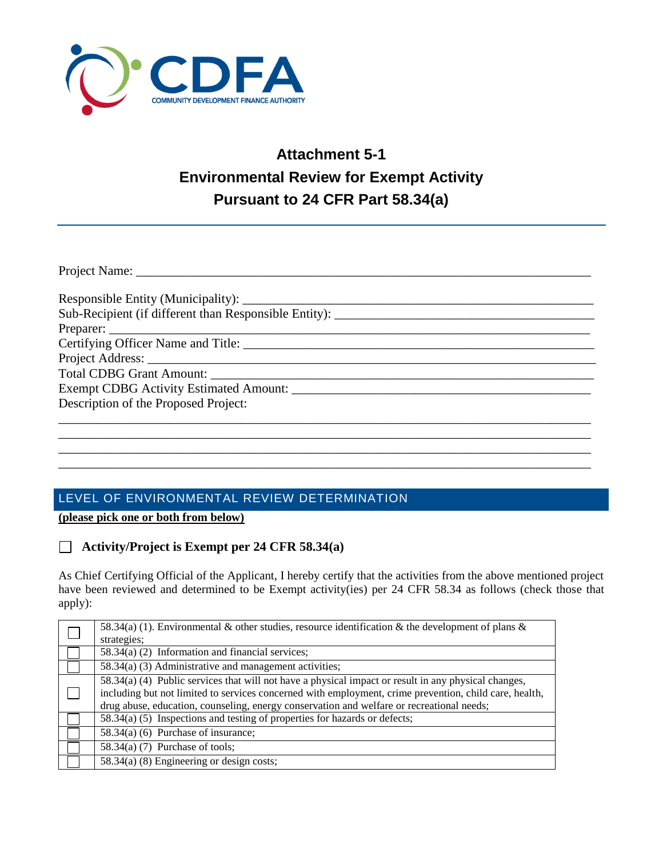

# **Attachment 5-1 Environmental Review for Exempt Activity Pursuant to 24 CFR Part 58.34(a)**

| Certifying Officer Name and Title:   |
|--------------------------------------|
|                                      |
|                                      |
|                                      |
| Description of the Proposed Project: |
|                                      |
|                                      |

\_\_\_\_\_\_\_\_\_\_\_\_\_\_\_\_\_\_\_\_\_\_\_\_\_\_\_\_\_\_\_\_\_\_\_\_\_\_\_\_\_\_\_\_\_\_\_\_\_\_\_\_\_\_\_\_\_\_\_\_\_\_\_\_\_\_\_\_\_\_\_\_\_\_\_\_\_\_\_\_\_\_ \_\_\_\_\_\_\_\_\_\_\_\_\_\_\_\_\_\_\_\_\_\_\_\_\_\_\_\_\_\_\_\_\_\_\_\_\_\_\_\_\_\_\_\_\_\_\_\_\_\_\_\_\_\_\_\_\_\_\_\_\_\_\_\_\_\_\_\_\_\_\_\_\_\_\_\_\_\_\_\_\_\_

## LEVEL OF ENVIRONMENTAL REVIEW DETERMINATION

**(please pick one or both from below)**

#### **Activity/Project is Exempt per 24 CFR 58.34(a)**

As Chief Certifying Official of the Applicant, I hereby certify that the activities from the above mentioned project have been reviewed and determined to be Exempt activity(ies) per 24 CFR 58.34 as follows (check those that apply):

| 58.34(a) (1). Environmental & other studies, resource identification & the development of plans &      |
|--------------------------------------------------------------------------------------------------------|
| strategies;                                                                                            |
| 58.34(a) (2) Information and financial services;                                                       |
| 58.34(a) (3) Administrative and management activities;                                                 |
| 58.34(a) (4) Public services that will not have a physical impact or result in any physical changes,   |
| including but not limited to services concerned with employment, crime prevention, child care, health, |
| drug abuse, education, counseling, energy conservation and welfare or recreational needs;              |
| $58.34(a)$ (5) Inspections and testing of properties for hazards or defects;                           |
| 58.34(a) (6) Purchase of insurance;                                                                    |
| $58.34(a)$ (7) Purchase of tools;                                                                      |
| 58.34(a) (8) Engineering or design costs;                                                              |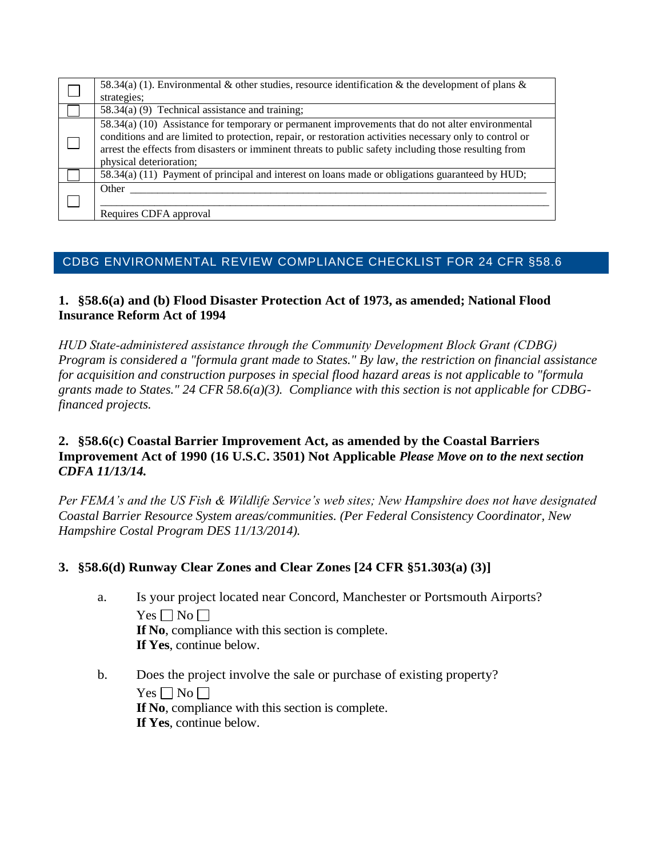| 58.34(a) (1). Environmental & other studies, resource identification & the development of plans &<br>strategies;                                                                                                                                                                                                                                 |
|--------------------------------------------------------------------------------------------------------------------------------------------------------------------------------------------------------------------------------------------------------------------------------------------------------------------------------------------------|
| 58.34(a) (9) Technical assistance and training;                                                                                                                                                                                                                                                                                                  |
| 58.34(a) (10) Assistance for temporary or permanent improvements that do not alter environmental<br>conditions and are limited to protection, repair, or restoration activities necessary only to control or<br>arrest the effects from disasters or imminent threats to public safety including those resulting from<br>physical deterioration; |
| 58.34(a) (11) Payment of principal and interest on loans made or obligations guaranteed by HUD;                                                                                                                                                                                                                                                  |
| Other<br>Requires CDFA approval                                                                                                                                                                                                                                                                                                                  |

## CDBG ENVIRONMENTAL REVIEW [COMPLIANCE CHECKLIST](http://portal.hud.gov/hudportal/documents/huddoc?id=compliance.doc) FOR 24 CFR §58.6

## **1. §58.6(a) and (b) Flood Disaster Protection Act of 1973, as amended; National Flood Insurance Reform Act of 1994**

*HUD State‐administered assistance through the Community Development Block Grant (CDBG) Program is considered a "formula grant made to States." By law, the restriction on financial assistance for acquisition and construction purposes in special flood hazard areas is not applicable to "formula grants made to States." 24 CFR 58.6(a)(3). Compliance with this section is not applicable for CDBGfinanced projects.*

## **2. §58.6(c) Coastal Barrier Improvement Act, as amended by the Coastal Barriers Improvement Act of 1990 (16 U.S.C. 3501) Not Applicable** *Please Move on to the next section CDFA 11/13/14.*

*Per FEMA's and the US Fish & Wildlife Service's web sites; New Hampshire does not have designated Coastal Barrier Resource System areas/communities. (Per Federal Consistency Coordinator, New Hampshire Costal Program DES 11/13/2014).* 

## **3. §58.6(d) Runway Clear Zones and Clear Zones [24 CFR §51.303(a) (3)]**

- a. Is your project located near Concord, Manchester or Portsmouth Airports?  $Yes \Box No \Box$ **If No**, compliance with this section is complete. **If Yes**, continue below.
- b. Does the project involve the sale or purchase of existing property?  $Yes \Box No \Box$ **If No**, compliance with this section is complete. **If Yes**, continue below.